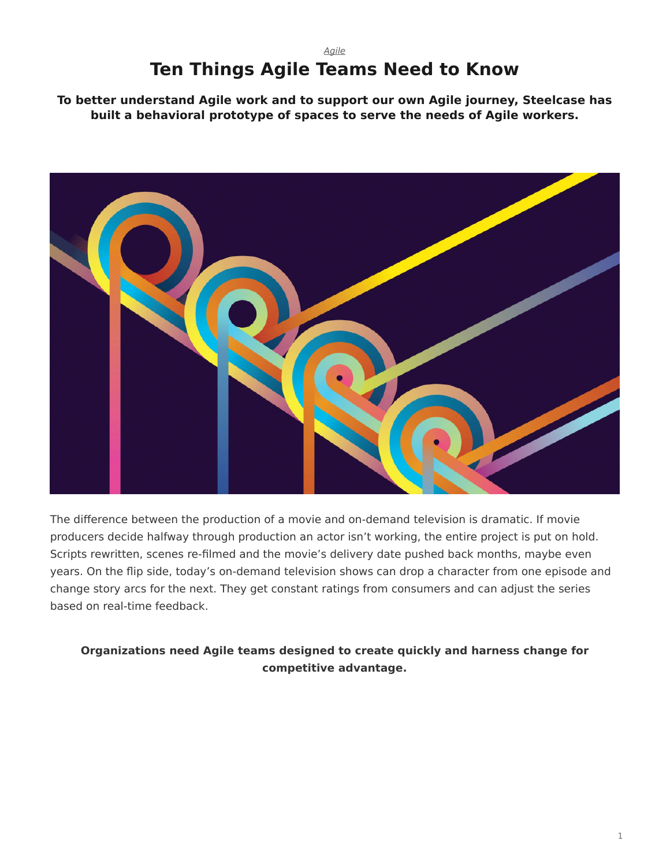## *[Agile](https://www.steelcase.com/research/topics/agile/)* **Ten Things Agile Teams Need to Know**

<span id="page-0-0"></span>**To better understand Agile work and to support our own Agile journey, Steelcase has built a behavioral prototype of spaces to serve the needs of Agile workers.**



The difference between the production of a movie and on-demand television is dramatic. If movie producers decide halfway through production an actor isn't working, the entire project is put on hold. Scripts rewritten, scenes re-filmed and the movie's delivery date pushed back months, maybe even years. On the flip side, today's on-demand television shows can drop a character from one episode and change story arcs for the next. They get constant ratings from consumers and can adjust the series based on real-time feedback.

## **Organizations need Agile teams designed to create quickly and harness change for competitive advantage.**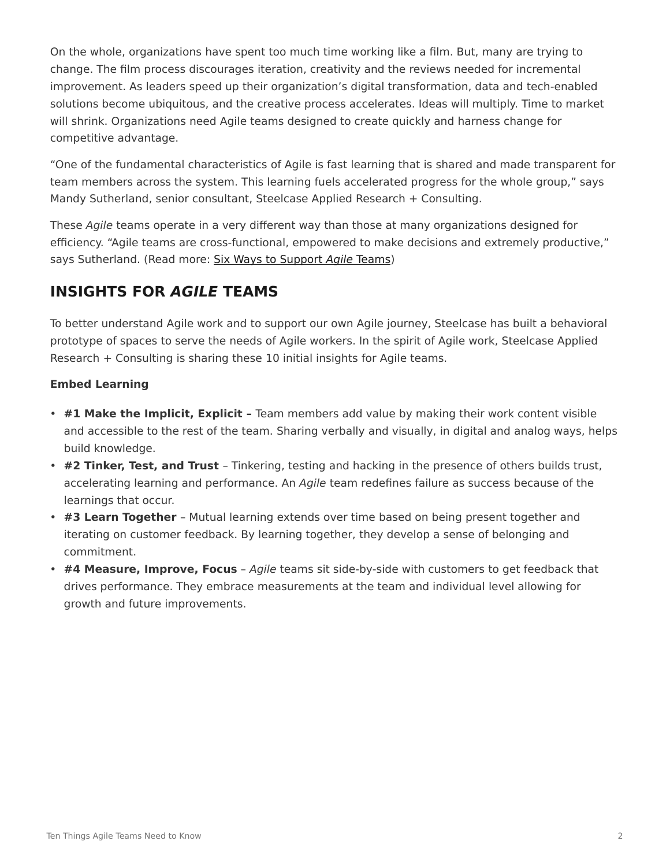On the whole, organizations have spent too much time working like a film. But, many are trying to change. The film process discourages iteration, creativity and the reviews needed for incremental improvement. As leaders speed up their organization's digital transformation, data and tech-enabled solutions become ubiquitous, and the creative process accelerates. Ideas will multiply. Time to market will shrink. Organizations need Agile teams designed to create quickly and harness change for competitive advantage.

"One of the fundamental characteristics of Agile is fast learning that is shared and made transparent for team members across the system. This learning fuels accelerated progress for the whole group," says Mandy Sutherland, senior consultant, Steelcase Applied Research + Consulting.

These *Agile* teams operate in a very different way than those at many organizations designed for efficiency. "Agile teams are cross-functional, empowered to make decisions and extremely productive," says Sutherland. (Read more: [Six Ways to Support](https://www.steelcase.com/research/articles/six-ways-support-agile-teams/) *Agile* Teams)

# **INSIGHTS FOR** *AGILE* **TEAMS**

To better understand Agile work and to support our own Agile journey, Steelcase has built a behavioral prototype of spaces to serve the needs of Agile workers. In the spirit of Agile work, Steelcase Applied Research + Consulting is sharing these 10 initial insights for Agile teams.

## **Embed Learning**

- **#1 Make the Implicit, Explicit –** Team members add value by making their work content visible and accessible to the rest of the team. Sharing verbally and visually, in digital and analog ways, helps build knowledge.
- **#2 Tinker, Test, and Trust** Tinkering, testing and hacking in the presence of others builds trust, accelerating learning and performance. An *Agile* team redefines failure as success because of the learnings that occur.
- **#3 Learn Together** Mutual learning extends over time based on being present together and iterating on customer feedback. By learning together, they develop a sense of belonging and commitment.
- **#4 Measure, Improve, Focus** *Agile* teams sit side-by-side with customers to get feedback that drives performance. They embrace measurements at the team and individual level allowing for growth and future improvements.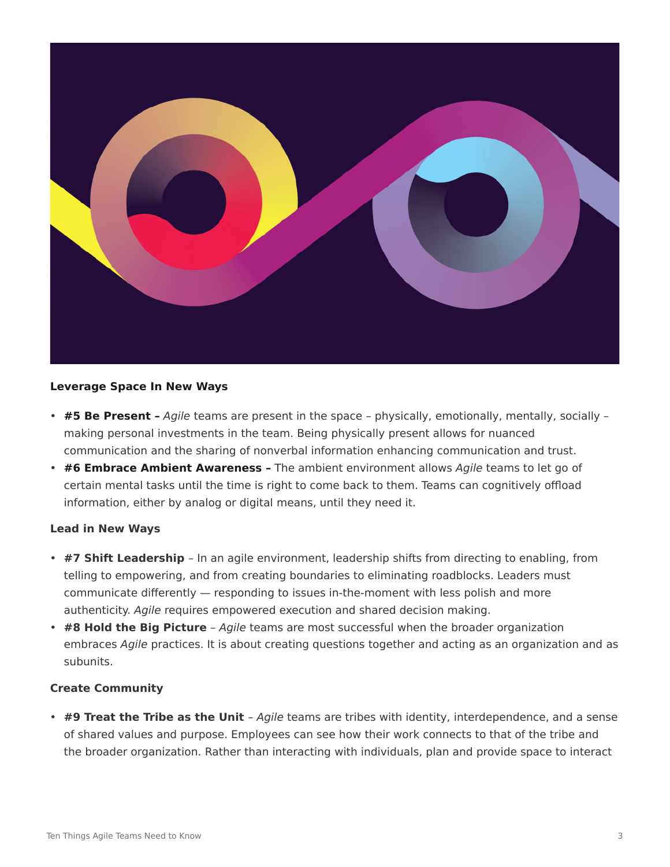

#### **Leverage Space In New Ways**

- **#5 Be Present –** *Agile* teams are present in the space physically, emotionally, mentally, socially making personal investments in the team. Being physically present allows for nuanced communication and the sharing of nonverbal information enhancing communication and trust.
- **#6 Embrace Ambient Awareness –** The ambient environment allows *Agile* teams to let go of certain mental tasks until the time is right to come back to them. Teams can cognitively offload information, either by analog or digital means, until they need it.

### **Lead in New Ways**

- **#7 Shift Leadership** In an agile environment, leadership shifts from directing to enabling, from telling to empowering, and from creating boundaries to eliminating roadblocks. Leaders must communicate differently — responding to issues in-the-moment with less polish and more authenticity. *Agile* requires empowered execution and shared decision making.
- **#8 Hold the Big Picture** *Agile* teams are most successful when the broader organization embraces *Agile* practices. It is about creating questions together and acting as an organization and as subunits.

#### **Create Community**

• **#9 Treat the Tribe as the Unit** – *Agile* teams are tribes with identity, interdependence, and a sense of shared values and purpose. Employees can see how their work connects to that of the tribe and the broader organization. Rather than interacting with individuals, plan and provide space to interact